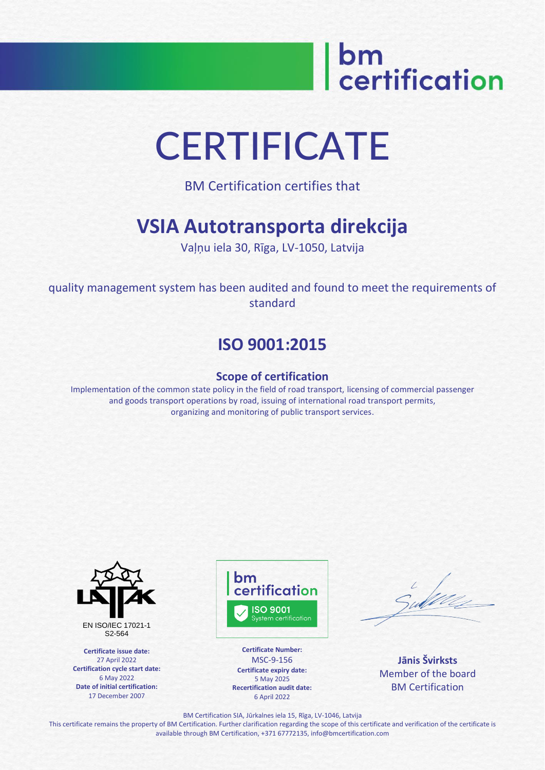# bm<br>| certification

## **CERTIFICATE**

BM Certification certifies that

### **VSIA Autotransporta direkcija**

Vaļņu iela 30, Rīga, LV-1050, Latvija

quality management system has been audited and found to meet the requirements of standard

### **ISO 9001:2015**

#### **Scope of certification**

Implementation of the common state policy in the field of road transport, licensing of commercial passenger and goods transport operations by road, issuing of international road transport permits, organizing and monitoring of public transport services.



**Certificate issue date:** 27 April 2022 **Certification cycle start date:** 6 May 2022 **Date of initial certification:** 17 December 2007



**Certificate Number:** MSC-9-156 **Certificate expiry date:** 5 May 2025 **Recertification audit date:** 6 April 2022

**Jānis Švirksts** Member of the board BM Certification

BM Certification SIA, Jūrkalnes iela 15, Rīga, LV-1046, Latvija

This certificate remains the property of BM Certification. Further clarification regarding the scope of this certificate and verification of the certificate is available through BM Certification, +371 67772135, info@bmcertification.com